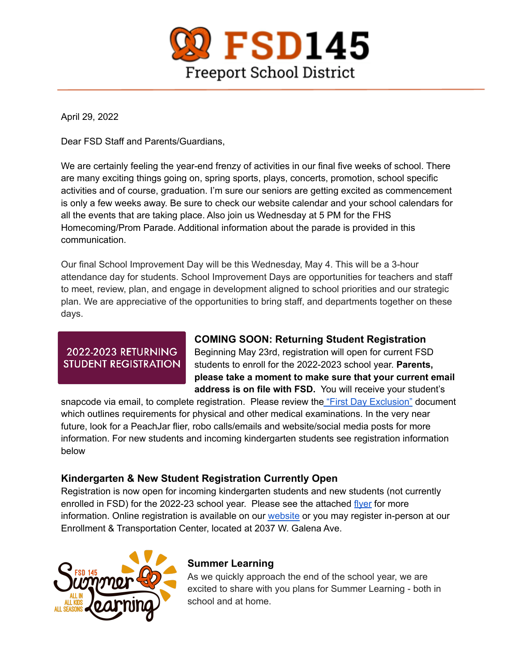

April 29, 2022

Dear FSD Staff and Parents/Guardians,

We are certainly feeling the year-end frenzy of activities in our final five weeks of school. There are many exciting things going on, spring sports, plays, concerts, promotion, school specific activities and of course, graduation. I'm sure our seniors are getting excited as commencement is only a few weeks away. Be sure to check our website calendar and your school calendars for all the events that are taking place. Also join us Wednesday at 5 PM for the FHS Homecoming/Prom Parade. Additional information about the parade is provided in this communication.

Our final School Improvement Day will be this Wednesday, May 4. This will be a 3-hour attendance day for students. School Improvement Days are opportunities for teachers and staff to meet, review, plan, and engage in development aligned to school priorities and our strategic plan. We are appreciative of the opportunities to bring staff, and departments together on these days.

# **2022-2023 RETURNING STUDENT REGISTRATION**

# **COMING SOON: Returning Student Registration**

Beginning May 23rd, registration will open for current FSD students to enroll for the 2022-2023 school year. **Parents, please take a moment to make sure that your current email address is on file with FSD.** You will receive your student's

snapcode via email, to complete registration. Please review the "First Day [Exclusion"](https://www.fsd145.org/cms/lib/IL49000005/Centricity/Domain/4/First%20Day%20Exclusion%20Flyer%20Final%20Copy.pdf) document which outlines requirements for physical and other medical examinations. In the very near future, look for a PeachJar flier, robo calls/emails and website/social media posts for more information. For new students and incoming kindergarten students see registration information below

# **Kindergarten & New Student Registration Currently Open**

Registration is now open for incoming kindergarten students and new students (not currently enrolled in FSD) for the 2022-23 school year. Please see the attached [flyer](https://www.fsd145.org/cms/lib/IL49000005/Centricity/Domain/4/kindergarten%20registration%202022.pdf) for more information. Online registration is available on our [website](https://registration.powerschool.com/family/Login?ReturnUrl=http%3A%2F%2Fregistration.powerschool.com%2Ffamily%2Fdirectaction&AutoLogOut=False) or you may register in-person at our Enrollment & Transportation Center, located at 2037 W. Galena Ave.



# **Summer Learning**

As we quickly approach the end of the school year, we are excited to share with you plans for Summer Learning - both in school and at home.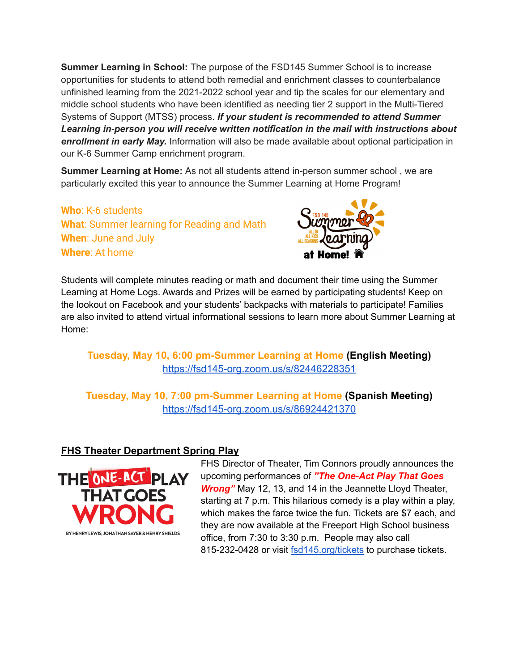**Summer Learning in School:** The purpose of the FSD145 Summer School is to increase opportunities for students to attend both remedial and enrichment classes to counterbalance unfinished learning from the 2021-2022 school year and tip the scales for our elementary and middle school students who have been identified as needing tier 2 support in the Multi-Tiered Systems of Support (MTSS) process. *If your student is recommended to attend Summer Learning in-person you will receive written notification in the mail with instructions about enrollment in early May.* Information will also be made available about optional participation in our K-6 Summer Camp enrichment program.

**Summer Learning at Home:** As not all students attend in-person summer school , we are particularly excited this year to announce the Summer Learning at Home Program!

# **Who**: K-6 students **What**: Summer learning for Reading and Math **When**: June and July **Where**: At home



Students will complete minutes reading or math and document their time using the Summer Learning at Home Logs. Awards and Prizes will be earned by participating students! Keep on the lookout on Facebook and your students' backpacks with materials to participate! Families are also invited to attend virtual informational sessions to learn more about Summer Learning at Home:

### **Tuesday, May 10, 6:00 pm-Summer Learning at Home (English Meeting)** <https://fsd145-org.zoom.us/s/82446228351>

**Tuesday, May 10, 7:00 pm-Summer Learning at Home (Spanish Meeting)** <https://fsd145-org.zoom.us/s/86924421370>

# **FHS Theater Department Spring Play**



FHS Director of Theater, Tim Connors proudly announces the upcoming performances of *"The One-Act Play That Goes Wrong"* May 12, 13, and 14 in the Jeannette Lloyd Theater, starting at 7 p.m. This hilarious comedy is a play within a play, which makes the farce twice the fun. Tickets are \$7 each, and they are now available at the Freeport High School business office, from 7:30 to 3:30 p.m. People may also call 815-232-0428 or visit [fsd145.org/tickets](http://fsd145.org/tickets) to purchase tickets.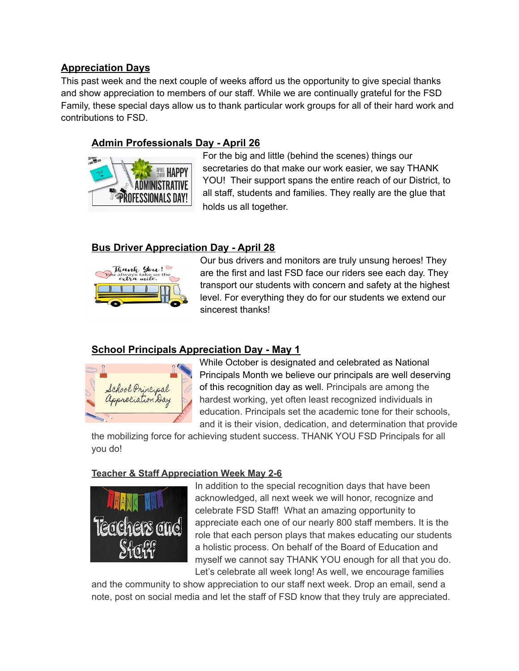### **Appreciation Days**

This past week and the next couple of weeks afford us the opportunity to give special thanks and show appreciation to members of our staff. While we are continually grateful for the FSD Family, these special days allow us to thank particular work groups for all of their hard work and contributions to FSD.

# **Admin Professionals Day - April 26**



For the big and little (behind the scenes) things our secretaries do that make our work easier, we say THANK YOU! Their support spans the entire reach of our District, to all staff, students and families. They really are the glue that holds us all together.

### **Bus Driver Appreciation Day - April 28**



Our bus drivers and monitors are truly unsung heroes! They are the first and last FSD face our riders see each day. They transport our students with concern and safety at the highest level. For everything they do for our students we extend our sincerest thanks!

#### **School Principals Appreciation Day - May 1**



While October is designated and celebrated as National Principals Month we believe our principals are well deserving of this recognition day as well. Principals are among the hardest working, yet often least recognized individuals in education. Principals set the academic tone for their schools, and it is their vision, dedication, and determination that provide

the mobilizing force for achieving student success. THANK YOU FSD Principals for all you do!

#### **Teacher & Staff Appreciation Week May 2-6**



In addition to the special recognition days that have been acknowledged, all next week we will honor, recognize and celebrate FSD Staff! What an amazing opportunity to appreciate each one of our nearly 800 staff members. It is the role that each person plays that makes educating our students a holistic process. On behalf of the Board of Education and myself we cannot say THANK YOU enough for all that you do. Let's celebrate all week long! As well, we encourage families

and the community to show appreciation to our staff next week. Drop an email, send a note, post on social media and let the staff of FSD know that they truly are appreciated.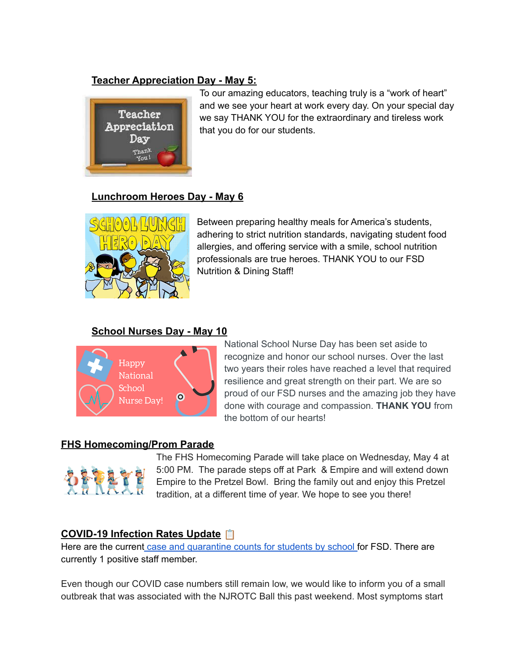### **Teacher Appreciation Day - May 5:**



To our amazing educators, teaching truly is a "work of heart" and we see your heart at work every day. On your special day we say THANK YOU for the extraordinary and tireless work that you do for our students.

#### **Lunchroom Heroes Day - May 6**



Between preparing healthy meals for America's students, adhering to strict nutrition standards, navigating student food allergies, and offering service with a smile, school nutrition professionals are true heroes. THANK YOU to our FSD Nutrition & Dining Staff!

### **School Nurses Day - May 10**



National School Nurse Day has been set aside to recognize and honor our school nurses. Over the last two years their roles have reached a level that required resilience and great strength on their part. We are so proud of our FSD nurses and the amazing job they have done with courage and compassion. **THANK YOU** from the bottom of our hearts!

#### **FHS Homecoming/Prom Parade**



The FHS Homecoming Parade will take place on Wednesday, May 4 at 5:00 PM. The parade steps off at Park & Empire and will extend down Empire to the Pretzel Bowl. Bring the family out and enjoy this Pretzel tradition, at a different time of year. We hope to see you there!

# **COVID-19 Infection Rates Update**

Here are the current case and [quarantine](https://www.fsd145.org/cms/lib/IL49000005/Centricity/Domain/4/4.29.22%20FSD%20COVID-19%20Weekly%20Tracking.pdf) counts for students by school for FSD. There are currently 1 positive staff member.

Even though our COVID case numbers still remain low, we would like to inform you of a small outbreak that was associated with the NJROTC Ball this past weekend. Most symptoms start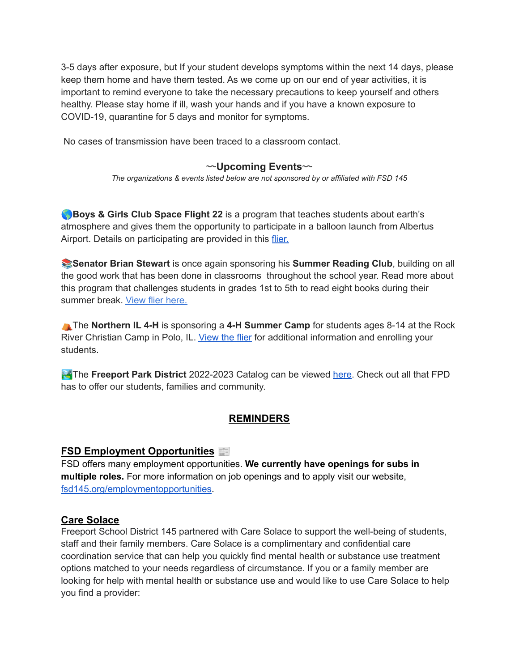3-5 days after exposure, but If your student develops symptoms within the next 14 days, please keep them home and have them tested. As we come up on our end of year activities, it is important to remind everyone to take the necessary precautions to keep yourself and others healthy. Please stay home if ill, wash your hands and if you have a known exposure to COVID-19, quarantine for 5 days and monitor for symptoms.

No cases of transmission have been traced to a classroom contact.

#### 〰**Upcoming Events**〰

*The organizations & events listed below are not sponsored by or affiliated with FSD 145*

**Boys & Girls Club Space Flight 22** is a program that teaches students about earth's atmosphere and gives them the opportunity to participate in a balloon launch from Albertus Airport. Details on participating are provided in this [flier.](https://www.fsd145.org/cms/lib/IL49000005/Centricity/Domain/4/BGC%20Space%20Flight.jpg)

**Senator Brian Stewart** is once again sponsoring his **Summer Reading Club**, building on all the good work that has been done in classrooms throughout the school year. Read more about this program that challenges students in grades 1st to 5th to read eight books during their summer break. View flier [here.](https://www.fsd145.org/cms/lib/IL49000005/Centricity/Domain/4/Stewart%20Summer%20Reader%20Flyer.pdf)

⛺The **Northern IL 4-H** is sponsoring a **4-H Summer Camp** for students ages 8-14 at the Rock River Christian Camp in Polo, IL. [View](https://www.fsd145.org/cms/lib/IL49000005/Centricity/Domain/4/4H%20Northern%20Illinois%20Day%20Camp%202022.pdf) the flier for additional information and enrolling your students.

**The Freeport Park District** 2022-2023 Catalog can be viewed [here](https://issuu.com/freeportparkdistrict/docs/26770_fpd_2022_program_guide_final_interactive). Check out all that FPD has to offer our students, families and community.

# **REMINDERS**

#### **FSD Employment Opportunities**

FSD offers many employment opportunities. **We currently have openings for subs in multiple roles.** For more information on job openings and to apply visit our website, [fsd145.org/employmentopportunities.](https://www.applitrack.com/fsd145/onlineapp/default.aspx)

#### **Care Solace**

Freeport School District 145 partnered with Care Solace to support the well-being of students, staff and their family members. Care Solace is a complimentary and confidential care coordination service that can help you quickly find mental health or substance use treatment options matched to your needs regardless of circumstance. If you or a family member are looking for help with mental health or substance use and would like to use Care Solace to help you find a provider: